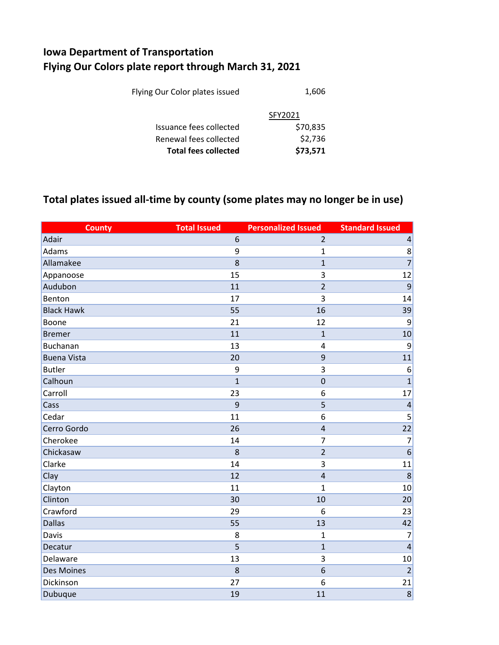## **Iowa Department of Transportation Flying Our Colors plate report through March 31, 2021**

| <b>Total fees collected</b>    | \$73,571 |
|--------------------------------|----------|
| Renewal fees collected         | \$2,736  |
| Issuance fees collected        | \$70,835 |
|                                | SFY2021  |
| Flying Our Color plates issued | 1,606    |
|                                |          |

## **Total plates issued all-time by county (some plates may no longer be in use)**

| <b>County</b>      | <b>Total Issued</b> | <b>Personalized Issued</b> | <b>Standard Issued</b>  |
|--------------------|---------------------|----------------------------|-------------------------|
| Adair              | 6                   | $\overline{2}$             | $\overline{\mathbf{r}}$ |
| Adams              | 9                   | $\mathbf{1}$               | 8                       |
| Allamakee          | 8                   | $\mathbf{1}$               | $\overline{7}$          |
| Appanoose          | 15                  | 3                          | 12                      |
| Audubon            | 11                  | $\overline{2}$             | 9                       |
| Benton             | 17                  | $\overline{3}$             | 14                      |
| <b>Black Hawk</b>  | 55                  | 16                         | 39                      |
| Boone              | 21                  | 12                         | 9                       |
| <b>Bremer</b>      | 11                  | $\mathbf{1}$               | 10                      |
| <b>Buchanan</b>    | 13                  | $\overline{4}$             | 9                       |
| <b>Buena Vista</b> | 20                  | 9                          | 11                      |
| <b>Butler</b>      | 9                   | 3                          | 6                       |
| Calhoun            | $\overline{1}$      | $\mathbf 0$                | $\mathbf{1}$            |
| Carroll            | 23                  | 6                          | 17                      |
| Cass               | 9                   | 5                          | $\overline{4}$          |
| Cedar              | 11                  | 6                          | 5                       |
| Cerro Gordo        | 26                  | $\overline{4}$             | 22                      |
| Cherokee           | 14                  | $\overline{7}$             | $\overline{7}$          |
| Chickasaw          | 8                   | $\overline{2}$             | 6                       |
| Clarke             | 14                  | 3                          | 11                      |
| Clay               | 12                  | $\overline{4}$             | 8                       |
| Clayton            | 11                  | $\mathbf{1}$               | 10                      |
| Clinton            | 30                  | 10                         | 20                      |
| Crawford           | 29                  | 6                          | 23                      |
| <b>Dallas</b>      | 55                  | 13                         | 42                      |
| Davis              | 8                   | $\mathbf{1}$               | $\overline{7}$          |
| Decatur            | 5                   | $\mathbf 1$                | $\overline{a}$          |
| Delaware           | 13                  | 3                          | 10                      |
| <b>Des Moines</b>  | 8                   | 6                          | $\overline{2}$          |
| Dickinson          | 27                  | 6                          | 21                      |
| Dubuque            | 19                  | 11                         | 8                       |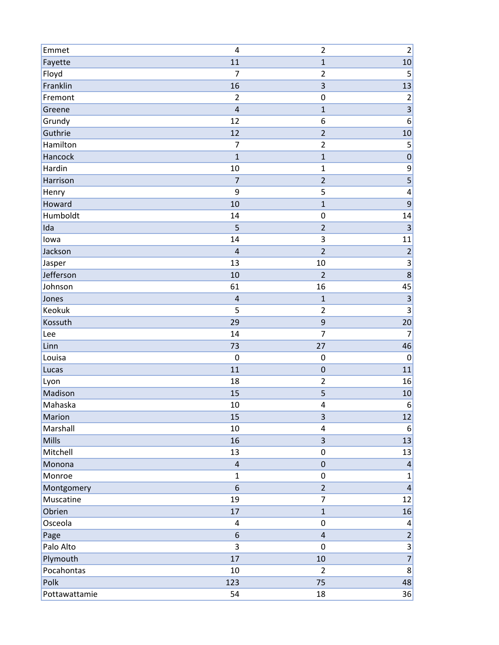| Emmet         | 4                       | $\overline{2}$          | $\overline{c}$           |
|---------------|-------------------------|-------------------------|--------------------------|
| Fayette       | 11                      | $\mathbf{1}$            | 10                       |
| Floyd         | $\overline{7}$          | $\overline{2}$          | 5                        |
| Franklin      | 16                      | $\overline{\mathbf{3}}$ | 13                       |
| Fremont       | $\overline{2}$          | $\mathbf 0$             | $\overline{c}$           |
| Greene        | $\overline{\mathbf{4}}$ | $\mathbf{1}$            | $\overline{3}$           |
| Grundy        | 12                      | 6                       | $\boldsymbol{6}$         |
| Guthrie       | 12                      | $\overline{2}$          | 10                       |
| Hamilton      | $\overline{7}$          | $\overline{2}$          | 5                        |
| Hancock       | $\mathbf{1}$            | $\mathbf{1}$            | $\overline{\mathbf{0}}$  |
| Hardin        | 10                      | $\mathbf{1}$            | 9                        |
| Harrison      | $\overline{7}$          | $\overline{\mathbf{c}}$ | $\overline{\mathbf{5}}$  |
| Henry         | 9                       | 5                       | $\overline{\mathcal{L}}$ |
| Howard        | 10                      | $\mathbf{1}$            | $\overline{9}$           |
| Humboldt      | 14                      | $\mathbf 0$             | 14                       |
| Ida           | 5                       | $\overline{2}$          | $\overline{3}$           |
| lowa          | 14                      | 3                       | 11                       |
| Jackson       | $\overline{\mathbf{4}}$ | $\overline{2}$          | $\overline{2}$           |
| Jasper        | 13                      | 10                      | 3                        |
| Jefferson     | 10                      | $\overline{2}$          | $\overline{8}$           |
| Johnson       | 61                      | 16                      | 45                       |
| Jones         | $\sqrt{4}$              | $\mathbf{1}$            | $\overline{\mathbf{3}}$  |
| Keokuk        | 5                       | $\overline{2}$          | $\mathsf 3$              |
| Kossuth       | 29                      | 9                       | 20                       |
| Lee           | 14                      | 7                       | $\overline{7}$           |
| Linn          | 73                      | 27                      | 46                       |
| Louisa        | $\boldsymbol{0}$        | $\mathbf 0$             | $\pmb{0}$                |
| Lucas         | 11                      | $\mathbf 0$             | 11                       |
| Lyon          | 18                      | $\overline{2}$          | 16                       |
| Madison       | 15                      | 5                       | 10                       |
| Mahaska       | 10                      | 4                       | 6                        |
| Marion        | 15                      | $\overline{\mathbf{3}}$ | 12                       |
| Marshall      | 10                      | $\pmb{4}$               | 6                        |
| Mills         | 16                      | $\mathsf{3}$            | 13                       |
| Mitchell      | 13                      | $\pmb{0}$               | 13                       |
| Monona        | $\overline{4}$          | $\pmb{0}$               | $\overline{4}$           |
| Monroe        | $\mathbf{1}$            | $\mathbf 0$             | $\mathbf{1}$             |
| Montgomery    | 6                       | $\overline{2}$          | $\overline{\mathbf{4}}$  |
| Muscatine     | 19                      | $\overline{7}$          | 12                       |
| Obrien        | $17\,$                  | $\mathbf{1}$            | 16                       |
| Osceola       | 4                       | 0                       | 4                        |
| Page          | 6                       | $\overline{4}$          | $\overline{2}$           |
| Palo Alto     | 3                       | $\mathbf 0$             | $\frac{3}{7}$            |
| Plymouth      | 17                      | 10                      |                          |
| Pocahontas    | $10\,$                  | $\overline{2}$          | $\boldsymbol{8}$         |
| Polk          | 123                     | 75                      | 48                       |
| Pottawattamie | 54                      | 18                      | 36                       |